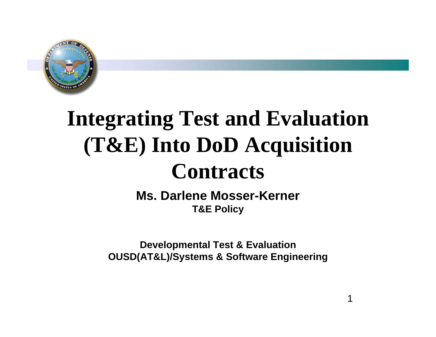

# **Integrating Test and Evaluation (T&E) Into DoD Acquisition Contracts**

**Ms. Darlene Mosser-KernerT&E Policy** 

**Developmental Test & Evaluation OUSD(AT&L)/Systems & Software Engineering**

1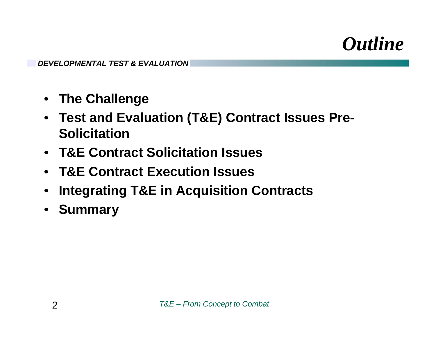#### *Outline*

- **The Challenge**
- **Test and Evaluation (T&E) Contract Issues Pre-Solicitation**
- **T&E Contract Solicitation Issues**
- **T&E Contract Execution Issues**
- •**Integrating T&E in Acquisition Contracts**
- •**Summary**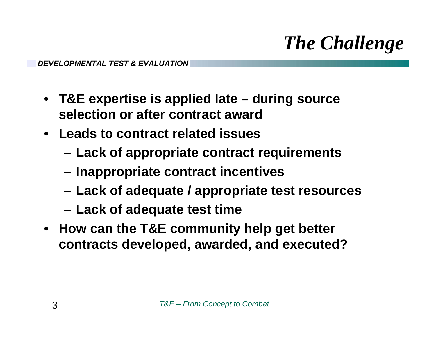## *The Challenge*

- **T&E expertise is applied late – during source selection or after contract award**
- **Leads to contract related issues**
	- **Lack of appropriate contract requirements**
	- **Inappropriate contract incentives**
	- **Lack of adequate / appropriate test resources**
	- **Lack of adequate test time**
- **How can the T&E community help get better contracts developed, awarded, and executed?**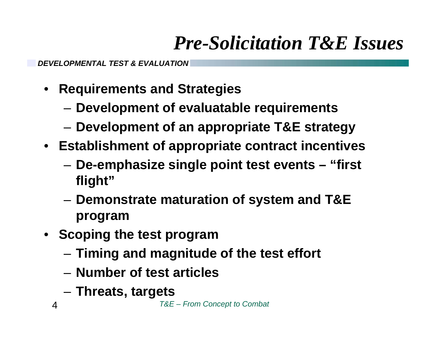### *Pre-Solicitation T&E Issues*

- **Requirements and Strategies**
	- –**Development of evaluatable requirements**
	- –**Development of an appropriate T&E strategy**
- **Establishment of appropriate contract incentives**
	- – **De-emphasize single point test events – "first flight"**
	- **Demonstrate maturation of system and T&E program**
- **Scoping the test program**
	- **Timing and magnitude of the test effort**
	- **Number of test articles**
	- –**Threats, targets**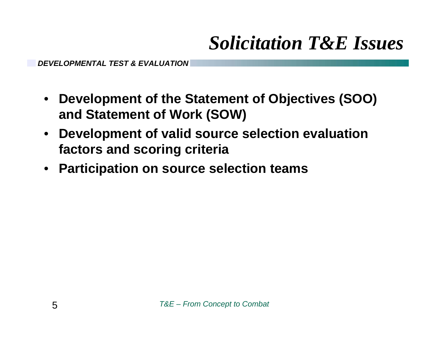#### *Solicitation T&E Issues*

- **Development of the Statement of Objectives (SOO) and Statement of Work (SOW)**
- **Development of valid source selection evaluation factors and scoring criteria**
- **Participation on source selection teams**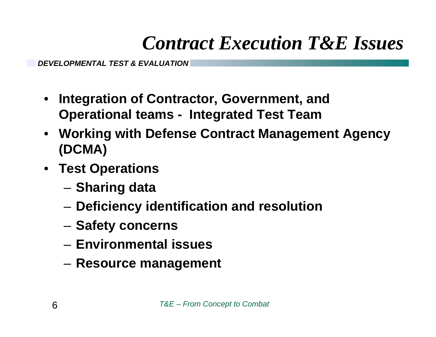#### *Contract Execution T&E Issues*

- **Integration of Contractor, Government, and Operational teams - Integrated Test Team**
- **Working with Defense Contract Management Agency (DCMA)**
- **Test Operations**
	- **Sharing data**
	- **Deficiency identification and resolution**
	- $-$  Safety concerns
	- **Environmental issues**
	- **Resource management**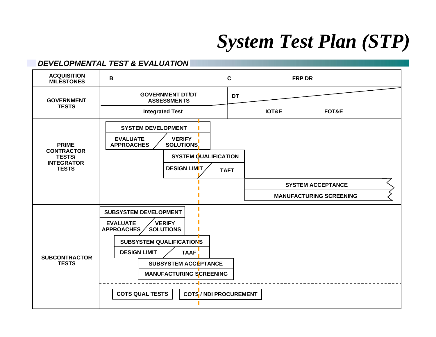#### *System Test Plan (STP)*

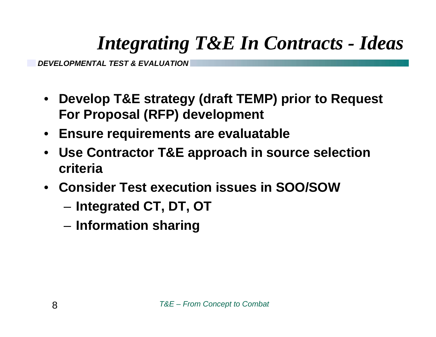### *Integrating T&E In Contracts - Ideas*

- **Develop T&E strategy (draft TEMP) prior to Request For Proposal (RFP) development**
- **Ensure requirements are evaluatable**
- • **Use Contractor T&E approach in source selection criteria**
- **Consider Test execution issues in SOO/SOW**
	- **Integrated CT, DT, OT**
	- **Information sharing**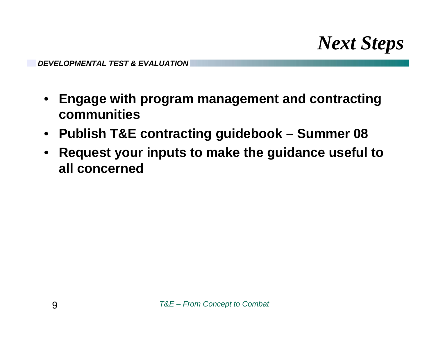*Next Steps*

- • **Engage with program management and contracting communities**
- **Publish T&E contracting guidebook – Summer 08**
- • **Request your inputs to make the guidance useful to all concerned**